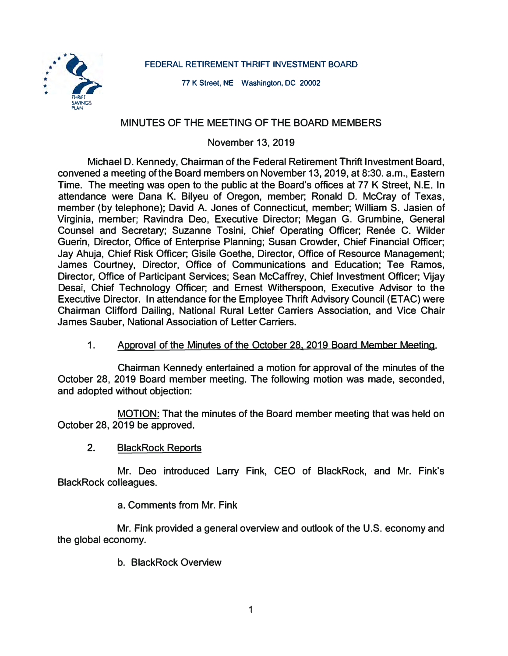**FEDERAL RETIREMENT THRIFT INVESTMENT BOARD** 



**77 K Street, NE Washington, DC 20002** 

# **MINUTES OF THE MEETING OF THE BOARD MEMBERS**

**November 13, 2019** 

**Michael D. Kennedy, Chairman of the Federal Retirement Thrift Investment Board, convened a meeting of the Board members on November 13, 2019, at 8:30. a.m., Eastern Time. The meeting was open to the public at the Board's offices at 77 K Street, N.E. In attendance were Dana K. Bilyeu of Oregon, member; Ronald D. McCray of Texas, member (by telephone); David A. Jones of Connecticut, member; William S. Jasien of Virginia, member; Ravindra Dec, Executive Director; Meagan G. Grumbine, General**  Counsel and Secretary; Suzanne Tosini, Chief Operating Officer; Renée C. Wilder **Guerin, Director, Office of Enterprise Planning; Susan Crowder, Chief Financial Officer; Jay Ahuja, Chief Risk Officer; Gisile Goethe, Director, Office of Resource Management; James Courtney, Director, Office of Communications and Education; Tee Ramos, Director, Office of Participant Services; Sean Mccaffrey, Chief Investment Officer; Vijay Desai, Chief Technology Officer; and Ernest Witherspoon, Executive Advisor to the Executive Director. In attendance for the Employee Thrift Advisory Council (ETAC) were Chairman Clifford Dailing, National Rural Letter Carriers Association, and Vice Chair James Sauber, National Association of Letter Carriers.** 

**1. Approval of the Minutes of the October 28, 2019 Board Member Meeting.**

**Chairman Kennedy entertained a motion for approval of the minutes of the October 28, 2019 Board member meeting. The following motion was made, seconded, and adopted without objection:** 

**MOTION: That the minutes of the Board member meeting that was held on October 28, 2019 be approved.** 

2. **BlackRock Reports**

**Mr. Dea introduced Larry Fink, CEO of BlackRock, and Mr. Fink's BlackRock colleagues.** 

**a. Comments from Mr. Fink**

**Mr. Fink provided a general overview and outlook of the U.S. economy and the global economy.** 

**b. BlackRock Overview**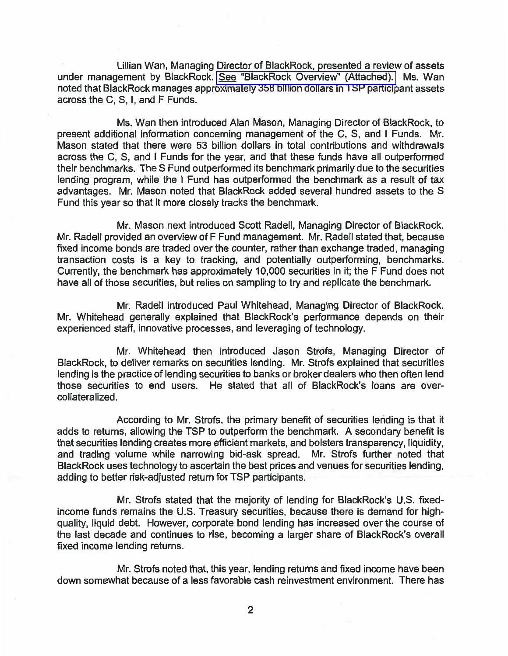Lillian Wan, Managing Director of BlackRock, presented a review of assets under management by BlackRock. See "BlackRock Overview" (Attached). Ms. Wan noted that BlackRock manages approximately 358 billion dollars in TSP participant assets across the C, S, I, and F Funds.

Ms. Wan then introduced Alan Mason, Managing Director of BlackRock, to present additional information concerning management of the C, S, and I Funds. Mr. Mason stated that there were 53 billion dollars in total contributions and withdrawals across the C, S, and I Funds for the year, and that these funds have all outperformed their benchmarks. The S Fund outperformed its benchmark primarily due to the securities lending program, while the I Fund has outperformed the benchmark as a result of tax advantages. Mr. Mason noted that BlackRock added several hundred assets to the S Fund this year so that it more closely tracks the benchmark.

Mr. Mason next introduced Scott Radell, Managing Director of BlackRock. Mr. Radell provided an overview of F Fund management. Mr. Radell stated that, because fixed income bonds are traded over the counter, rather than exchange traded, managing transaction costs is a key to tracking, and potentially outperforming, benchmarks. Currently, the benchmark has approximately 10,000 securities in it; the F Fund does not have all of those securities, but relies on sampling to try and replicate the benchmark.

Mr. Radell introduced Paul Whitehead, Managing Director of BlackRock. Mr. Whitehead generally explained that BlackRock's performance depends on their experienced staff, innovative processes, and leveraging of technology.

Mr. Whitehead then introduced Jason Strofs, Managing Director of BlackRock, to deliver remarks on securities lending. Mr. Strofs explained that securities lending is the practice of lending securities to banks or broker dealers who then often lend those securities to end users. He stated that all of BlackRock's loans are overcollateralized.

According to Mr. Strofs, the primary benefit of securities lending is that it adds to returns, allowing the TSP to outperform the benchmark. A secondary benefit is that securities lending creates more efficient markets, and bolsters transparency, liquidity, and trading volume while narrowing bid-ask spread. Mr. Strofs further noted that BlackRock uses technology to ascertain the best prices and venues for securities lending, adding to better risk-adjusted return for TSP participants.

Mr. Strofs stated that the majority of lending for BlackRock's U.S. fixedincome funds remains the U.S. Treasury securities, because there is demand for highquality, liquid debt. However, corporate bond lending has increased over the course of the last decade and continues to rise, becoming a larger share of BlackRock's overall fixed income lending returns.

Mr. Strofs noted that, this year, lending returns and fixed income have been down somewhat because of a less favorable cash reinvestment environment. There has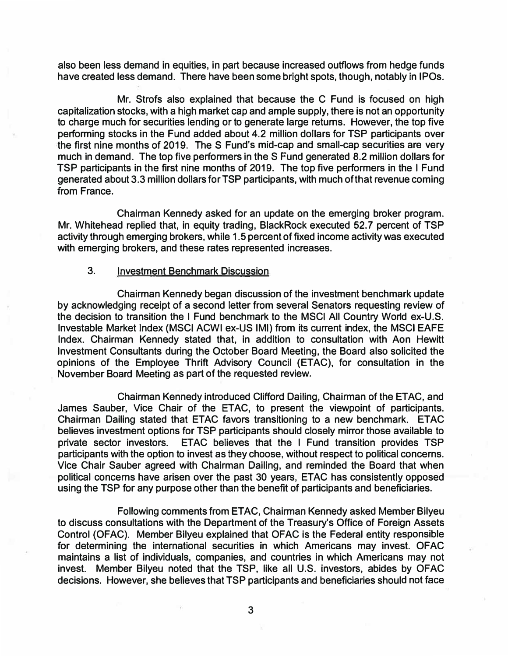**also been less demand in equities, in part because increased outflows from hedge funds have created less demand. There have been some bright spots, though, notably in IPOs.** 

**Mr. Strofs also explained that because the C Fund is focused on high capitalization stocks, with a high market cap and ample supply, there is not an opportunity to charge much for securities lending or to generate large returns. However, the top five performing stocks in the Fund added about 4.2 million dollars for TSP participants over the first nine months of 2019. The S Fund's mid-cap and small-cap securities are very much in demand. The top five performers in the S Fund generated 8.2 million dollars for TSP participants in the first nine months of 2019. The top five performers in the I Fund generated about 3.3 million dollars for TSP participants, with much of that revenue coming from France.** 

**Chairman Kennedy asked for an update on the emerging broker program. Mr. Whitehead replied that, in equity trading, BlackRock executed 52. 7 percent of TSP activity through emerging brokers, while 1.5 percent of fixed income activity was executed with emerging brokers, and these rates represented increases.** 

### **3. Investment Benchmark Discussion**

**Chairman Kennedy began discussion of the investment benchmark update by acknowledging receipt of a second letter from several Senators requesting review of the decision to transition the I Fund benchmark to the MSCI All Country World ex-U.S. lnvestable Market Index (MSCI ACWI ex-US IMI) from its current index, the MSCI EAFE Index. Chairman Kennedy stated that, in addition to consultation with Aon Hewitt Investment Consultants during the October Board Meeting, the Board also solicited the opinions of the Employee Thrift Advisory Council (ETAC), for consultation in the November Board Meeting as part of the requested review.** 

**Chairman Kennedy introduced Clifford Dailing, Chairman of the ETAC, and James Sauber, Vice Chair of the ETAC, to present the viewpoint of participants. Chairman Dailing stated that ETAC favors transitioning to a new benchmark. ETAC believes investment options for TSP participants should closely mirror those available to private sector investors. ETAC believes that the I Fund transition provides TSP participants with the option to invest as they choose, without respect to political concerns. Vice Chair Sauber agreed with Chairman Dailing, and reminded the Board that when political concerns have arisen over the past 30 years, ETAC has consistently opposed using the TSP for any purpose other than the benefit of participants and beneficiaries.** 

**Following comments from ETAC, Chairman Kennedy asked Member Bilyeu to discuss consultations with the Department of the Treasury's Office of Foreign Assets Control (OFAC). Member Bilyeu explained that OFAC is the Federal entity responsible for determining the international securities in which Americans may invest. OFAC maintains a list of individuals, companies, and countries in which Americans may not invest. Member Bilyeu noted that the TSP, like all U.S. investors, abides by OFAC decisions. However, she believes that TSP participants and beneficiaries should not face** 

**3**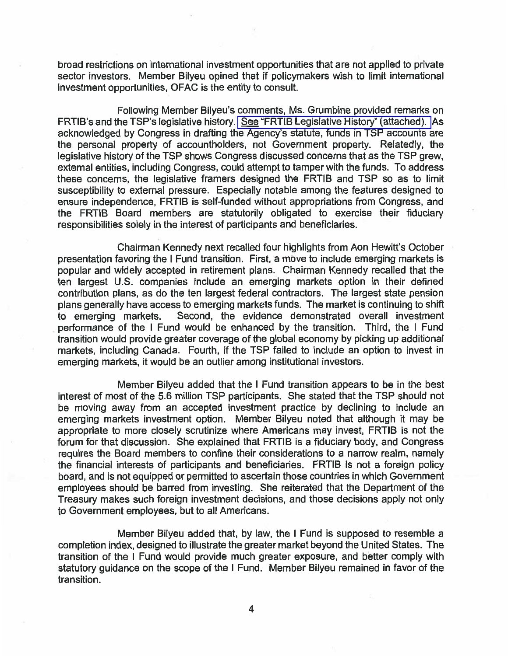broad restrictions on international investment opportunities that are not applied to private sector investors. Member Bilyeu opined that if policymakers wish to limit international investment opportunities, OFAC is the entity to consult.

Following Member Bilyeu's comments, Ms. Grumbine provided remarks on FRTIB's and the TSP's legislative history. See "FRTIB Legislative History" (attached). As acknowledged by Congress in drafting the Agency's statute, funds in TSP accounts are the personal property of accountholders, not Government property. Relatedly, the legislative history of the TSP shows Congress discussed concerns that as the TSP grew, external entities, including Congress, could attempt to tamper with the funds. To address these concerns, the legislative framers designed the FRTIB and TSP so as to limit susceptibility to external pressure. Especially notable among the features designed to ensure independence, FRTIB is self-funded without appropriations from Congress, and the FRTIB Board members are statutorily obligated to exercise their fiduciary responsibilities solely in the interest of participants and beneficiaries.

Chairman Kennedy next recalled four highlights from Aon Hewitt's October presentation favoring the I Fund transition. First, a move to include emerging markets is popular and widely accepted in retirement plans. Chairman Kennedy recalled that the ten largest U.S. companies include an emerging markets option in their defined contribution plans, as do the ten largest federal contractors. The largest state pension plans generally have access to emerging markets funds. The market is continuing to shift Second, the evidence demonstrated overall investment to emerging markets. performance of the I Fund would be enhanced by the transition. Third, the I Fund transition would provide greater coverage of the global economy by picking up additional markets, including Canada. Fourth, if the TSP failed to include an option to invest in emerging markets, it would be an outlier among institutional investors.

Member Bilyeu added that the I Fund transition appears to be in the best interest of most of the 5.6 million TSP participants. She stated that the TSP should not be moving away from an accepted investment practice by declining to include an emerging markets investment option. Member Bilyeu noted that although it may be appropriate to more closely scrutinize where Americans may invest, FRTIB is not the forum for that discussion. She explained that FRTIB is a fiduciary body, and Congress requires the Board members to confine their considerations to a narrow realm, namely the financial interests of participants and beneficiaries. FRTIB is not a foreign policy board, and is not equipped or permitted to ascertain those countries in which Government employees should be barred from investing. She reiterated that the Department of the Treasury makes such foreign investment decisions, and those decisions apply not only to Government employees, but to all Americans.

Member Bilyeu added that, by law, the I Fund is supposed to resemble a completion index, designed to illustrate the greater market beyond the United States. The transition of the I Fund would provide much greater exposure, and better comply with statutory guidance on the scope of the I Fund. Member Bilyeu remained in favor of the transition.

4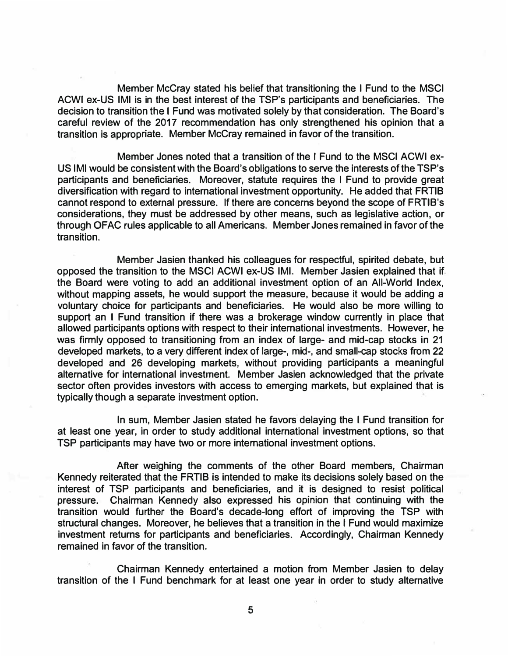**Member McCray stated his belief that transitioning the I Fund to the MSCI ACWI ex-US IMI is in the best interest of the TSP's participants and beneficiaries. The decision to transition the I Fund was motivated solely by that consideration. The Board's careful review of the 2017 recommendation has only strengthened his opinion that a transition is appropriate. Member McCray remained in favor of the transition.** 

**Member Jones noted that a transition of the I Fund to the MSCI ACWI ex-**US IMI would be consistent with the Board's obligations to serve the interests of the TSP's **participants and beneficiaries. Moreover, statute requires the I Fund to provide great diversification with regard to international investment opportunity. He added that FRTIB cannot respond to external pressure. If there are concerns beyond the scope of FRTIB's considerations, they must be addressed by other means, such as legislative action, or through OFAC rules applicable to all Americans. Member Jones remained in favor of the transition.** 

**Member Jasien thanked his colleagues for respectful, spirited debate, but opposed the transition to the MSCI ACWI ex-US IMI. Member Jasien explained that if the Board were voting to add an additional investment option of an All-World Index, without mapping assets, he would support the measure, because it would be adding a voluntary choice for participants and beneficiaries. He would also be more willing to support an I Fund transition if there was a brokerage window currently in place that allowed participants options with respect to their international investments. However, he was firmly opposed to transitioning from an index of large- and mid-cap stocks in 21 developed markets, to a very different index of large-, mid-, and small-cap stocks from 22 developed and 26 developing markets, without providing participants a meaningful alternative for international investment. Member Jasien acknowledged that the private sector often provides investors with access to emerging markets, but explained that is typically though a separate investment option.** 

**In sum, Member Jasien stated he favors delaying the I Fund transition for at least one year, in order to study additional international investment options, so that TSP participants may have two or more international investment options.** 

**After weighing the comments of the other Board members, Chairman Kennedy reiterated that the FRTIB is intended to make its decisions solely based on the interest of TSP participants and beneficiaries, and it is designed to resist political pressure. Chairman Kennedy also expressed his opinion that continuing with the transition would further the Board's decade-long effort of improving the TSP with structural changes. Moreover, he believes that a transition in the I Fund would maximize investment returns for participants and beneficiaries. Accordingly, Chairman Kennedy remained in favor of the transition.** 

**Chairman Kennedy entertained a motion from Member Jasien to delay transition of the I Fund benchmark for at least one year in order to study alternative**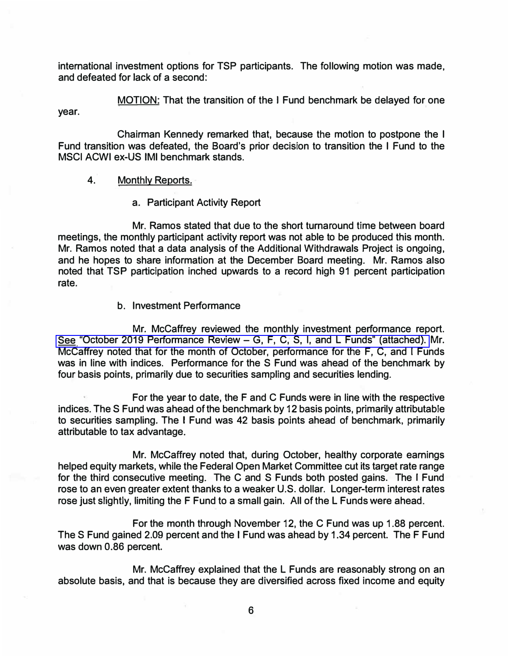**international investment options for TSP participants. The following motion was made, and defeated for lack of a second:** 

**MOTION: That the transition of the I Fund benchmark be delayed for one year.** 

**Chairman Kennedy remarked that, because the motion to postpone the I Fund transition was defeated, the Board's prior decision to transition the I Fund to the MSCI ACWI ex-US IMI benchmark stands.** 

### **4. Monthly Reports.**

#### **a. Participant Activity Report**

**Mr. Ramos stated that due to the short turnaround time between board meetings, the monthly participant activity report was not able to be produced this month. Mr. Ramos noted that a data analysis of the Additional Withdrawals Project is ongoing, and he hopes to share information at the December Board meeting. Mr. Ramos also noted that TSP participation inched upwards to a record high 91 percent participation rate.** 

#### **b. Investment Performance**

**Mr. McCaffrey reviewed the monthly investment performance report. See "October 2019 Performance Review - [G, F, C, S, I, and L Funds" \(attached\).](https://www.frtib.gov/pdf/minutes/2019/Nov/MM-2019Nov-Att3.pdf) Mr. Mccaffrey noted that for the month of October, performance for the F, C, and I Funds was in line with indices. Performance for the S Fund was ahead of the benchmark by four basis points, primarily due to securities sampling and securities lending.** 

**For the year to date, the F and C Funds were in line with the respective indices. The S Fund was ahead of the benchmark by 12 basis points, primarily attributable to securities sampling. The I Fund was 42 basis points ahead of benchmark, primarily attributable to tax advantage.** 

**Mr. Mccaffrey noted that, during October, healthy corporate earnings helped equity markets, while the Federal Open Market Committee cut its target rate range for the third consecutive meeting. The C and S Funds both posted gains. The I Fund rose to an even greater extent thanks to a weaker U.S. dollar. Longer-term interest rates rose just slightly, limiting the F Fund to a small gain. All of the L Funds were ahead.** 

**For the month through November 12, the C Fund was up 1.88 percent. The S Fund gained 2.09 percent and the I Fund was ahead by 1.34 percent. The F Fund was down 0.86 percent.** 

**Mr. McCaffrey explained that the L Funds are reasonably strong on an absolute basis, and that is because they are diversified across fixed income and equity** 

**6**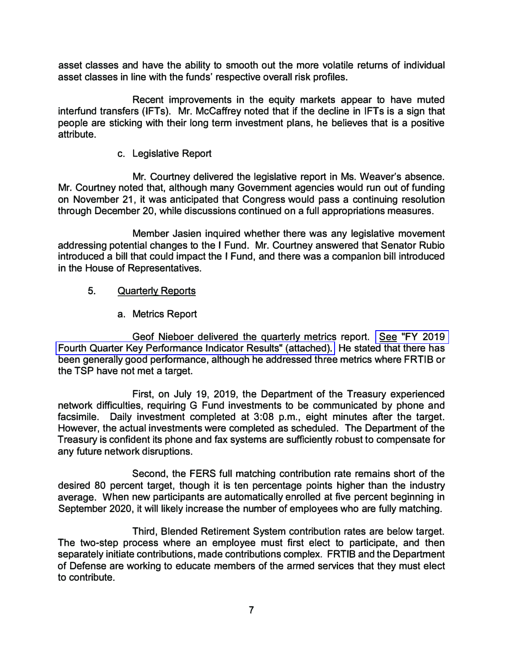**asset classes and have the ability to smooth out the more volatile returns of individual asset classes in line with the funds' respective overall risk profiles.** 

**Recent improvements in the equity markets appear to have muted interfund transfers (IFTs). Mr. McCaffrey noted that if the decline in IFTs is a sign that people are sticking with their long term investment plans, he believes that is a positive attribute.** 

**c. Legislative Report**

**Mr. Courtney delivered the legislative report in Ms. Weaver's absence. Mr. Courtney noted that, although many Government agencies would run out of funding on November 21, it was anticipated that Congress would pass a continuing resolution through December 20, while discussions continued on a full appropriations measures.** 

**Member Jasien inquired whether there was any legislative movement addressing potential changes to the I Fund. Mr. Courtney answered that Senator Rubio introduced a bill that could impact the I Fund, and there was a companion bill introduced in the House of Representatives.** 

# 5. **Quarterly Reports**

**a. Metrics Report**

**Geof Nieboer delivered the quarterly metrics report. [See "FY 2019](https://www.frtib.gov/pdf/minutes/2019/Nov/MM-2019Nov-Att4.pdf)  [Fourth Quarter Key Performance Indicator Results" \(attached\).](https://www.frtib.gov/pdf/minutes/2019/Nov/MM-2019Nov-Att4.pdf) He stated that there has been generally good performance, although he addressed three metrics where FRTIB or the TSP have not met a target.** 

**First, on July 19, 2019, the Department of the Treasury experienced network difficulties, requiring G Fund investments to be communicated by phone and facsimile. Daily investment completed at 3:08 p.m., eight minutes after the target. However, the actual investments were completed as scheduled. The Department of the Treasury is confident its phone and fax systems are sufficiently robust to compensate for any future network disruptions.** 

**Second, the FERS full matching contribution rate remains short of the desired 80 percent target, though it is ten percentage points higher than the industry average. When new participants are automatically enrolled at five percent beginning in September 2020, it will likely increase the number of employees who are fully matching.** 

**Third, Blended Retirement System contribution rates are below target. The two-step process where an employee must first elect to participate, and then separately initiate contributions, made contributions complex. FRTIB and the Department of Defense are working to educate members of the armed services that they must elect to contribute.**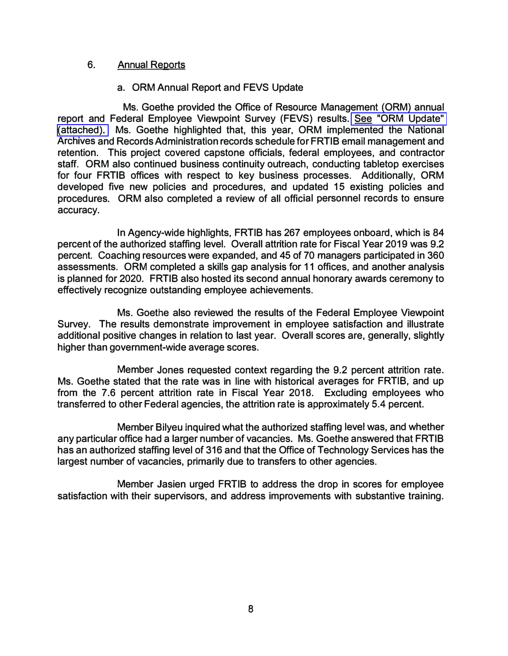#### **6.Annual Reports**

## **a. ORM Annual Report and FEVS Update**

**Ms. Goethe provided the Office of Resource Management (ORM) annual report and Federal Employee Viewpoint Survey (FEVS) results. [See "ORM Update"](https://www.frtib.gov/pdf/minutes/2019/Nov/MM-2019Nov-Att5.pdf)  [\(attached\).](https://www.frtib.gov/pdf/minutes/2019/Nov/MM-2019Nov-Att5.pdf) Ms. Goethe highlighted that, this year, ORM implemented the National Archives and Records Administration records schedule for FRTIB email mancagement and retention. This project covered capstone officials, federal employees, and contractor staff. ORM also continued business continuity outreach, conducting tabletop exercises for four FRTIB offices with respect to key business processes. Additionally, ORM developed five new policies and procedures, and updated 15 existing policies and procedures. ORM also completed a review of all official personnel records to ensure accuracy.** 

**In Agency-wide highlights, FRTIB has 267 employees onboard, which is 84 percent of the authorized staffing level. Overall attrition rate for Fiscal Year 2019 was 9.2 percent. Coaching resources were expanded, and 45 of 70 managers participated in 360 assessments. ORM completed a skills gap analysis for 11 offices, and another analysis is planned for 2020. FRTIB also hosted its second annual honorary awards ceremony to effectively recognize outstanding employee achievements.** 

**Ms. Goethe also reviewed the results of the Federal Employee Viewpoint Survey. The results demonstrate improvement in employee satisfaction and illustrate additional positive changes in relation to last year. Overall scores are, generally, slightly higher than government-wide average scores.** 

**Member Jones requested context regarding the 9.2 percent attrition rate. Ms. Goethe stated that the rate was in line with historical averages for FRTIB, and up from the 7.6 percent attrition rate in Fiscal Year 2018. Excluding employees who transferred to other Federal agencies, the attrition rate is approximately 5.4 percent.** 

**Member Bilyeu inquired what the authorized staffing level was, and whether any particular office had a larger number of vacancies. Ms. Goethe answered that FRTIB has an authorized staffing level of 316 and that the Office of Technology Services has the largest number of vacancies, primarily due to transfers to other agencies.** 

**Member Jasien urged FRTIB to address the drop in scores for employee satisfaction with their supervisors, and address improvements with substantive training.**